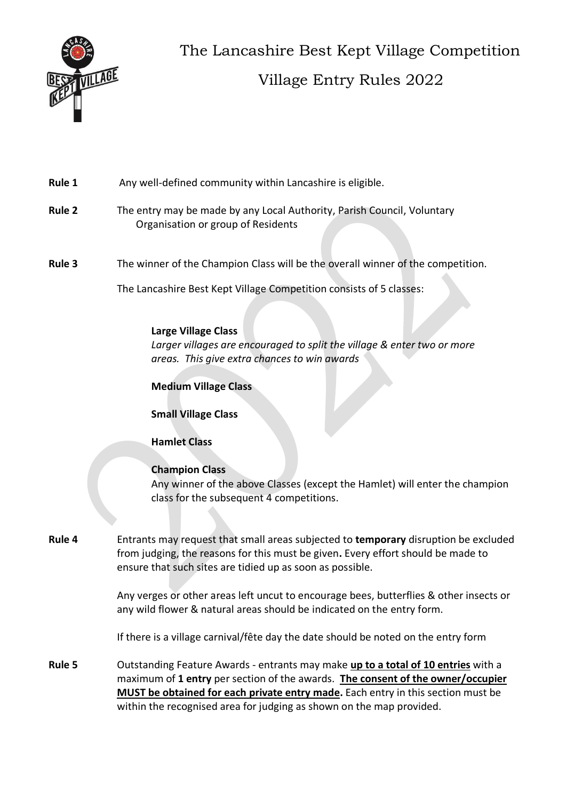

The Lancashire Best Kept Village Competition Village Entry Rules 2022

## Rule 1 Any well-defined community within Lancashire is eligible.

- **Rule 2** The entry may be made by any Local Authority, Parish Council, Voluntary Organisation or group of Residents
- **Rule 3** The winner of the Champion Class will be the overall winner of the competition.

The Lancashire Best Kept Village Competition consists of 5 classes:

#### **Large Village Class**

*Larger villages are encouraged to split the village & enter two or more areas. This give extra chances to win awards*

### **Medium Village Class**

## **Small Village Class**

## **Hamlet Class**

#### **Champion Class**

Any winner of the above Classes (except the Hamlet) will enter the champion class for the subsequent 4 competitions.

**Rule 4** Entrants may request that small areas subjected to **temporary** disruption be excluded from judging, the reasons for this must be given**.** Every effort should be made to ensure that such sites are tidied up as soon as possible.

> Any verges or other areas left uncut to encourage bees, butterflies & other insects or any wild flower & natural areas should be indicated on the entry form.

If there is a village carnival/fête day the date should be noted on the entry form

**Rule 5** Outstanding Feature Awards - entrants may make **up to a total of 10 entries** with a maximum of **1 entry** per section of the awards. **The consent of the owner/occupier MUST be obtained for each private entry made.** Each entry in this section must be within the recognised area for judging as shown on the map provided.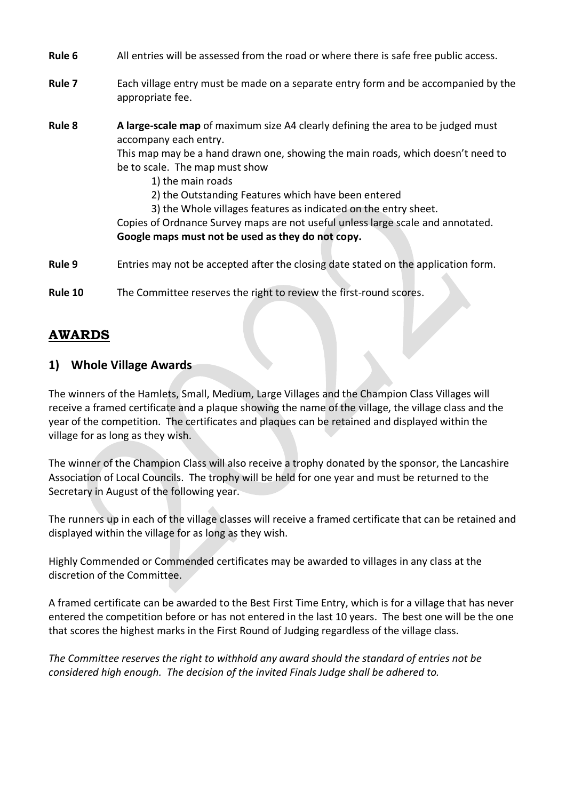| Rule 6  | All entries will be assessed from the road or where there is safe free public access.                                                                                                                                                                                                                                                                                                                                                                                                                                 |
|---------|-----------------------------------------------------------------------------------------------------------------------------------------------------------------------------------------------------------------------------------------------------------------------------------------------------------------------------------------------------------------------------------------------------------------------------------------------------------------------------------------------------------------------|
| Rule 7  | Each village entry must be made on a separate entry form and be accompanied by the<br>appropriate fee.                                                                                                                                                                                                                                                                                                                                                                                                                |
| Rule 8  | A large-scale map of maximum size A4 clearly defining the area to be judged must<br>accompany each entry.<br>This map may be a hand drawn one, showing the main roads, which doesn't need to<br>be to scale. The map must show<br>1) the main roads<br>2) the Outstanding Features which have been entered<br>3) the Whole villages features as indicated on the entry sheet.<br>Copies of Ordnance Survey maps are not useful unless large scale and annotated.<br>Google maps must not be used as they do not copy. |
| Rule 9  | Entries may not be accepted after the closing date stated on the application form.                                                                                                                                                                                                                                                                                                                                                                                                                                    |
| Rule 10 | The Committee reserves the right to review the first-round scores.                                                                                                                                                                                                                                                                                                                                                                                                                                                    |

# **AWARDS**

## **1) Whole Village Awards**

The winners of the Hamlets, Small, Medium, Large Villages and the Champion Class Villages will receive a framed certificate and a plaque showing the name of the village, the village class and the year of the competition. The certificates and plaques can be retained and displayed within the village for as long as they wish.

The winner of the Champion Class will also receive a trophy donated by the sponsor, the Lancashire Association of Local Councils. The trophy will be held for one year and must be returned to the Secretary in August of the following year.

The runners up in each of the village classes will receive a framed certificate that can be retained and displayed within the village for as long as they wish.

Highly Commended or Commended certificates may be awarded to villages in any class at the discretion of the Committee.

A framed certificate can be awarded to the Best First Time Entry, which is for a village that has never entered the competition before or has not entered in the last 10 years. The best one will be the one that scores the highest marks in the First Round of Judging regardless of the village class.

*The Committee reserves the right to withhold any award should the standard of entries not be considered high enough. The decision of the invited Finals Judge shall be adhered to.*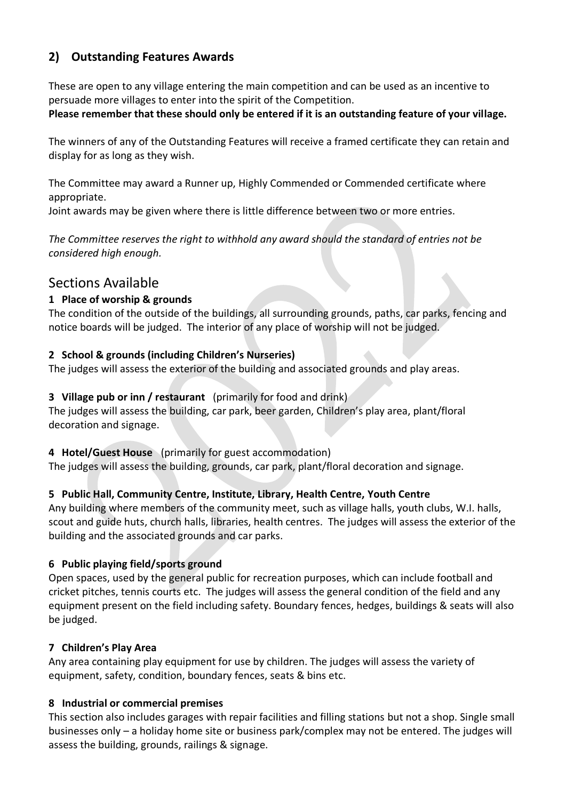## **2) Outstanding Features Awards**

These are open to any village entering the main competition and can be used as an incentive to persuade more villages to enter into the spirit of the Competition.

### **Please remember that these should only be entered if it is an outstanding feature of your village.**

The winners of any of the Outstanding Features will receive a framed certificate they can retain and display for as long as they wish.

The Committee may award a Runner up, Highly Commended or Commended certificate where appropriate.

Joint awards may be given where there is little difference between two or more entries.

*The Committee reserves the right to withhold any award should the standard of entries not be considered high enough.*

## Sections Available

## **1 Place of worship & grounds**

The condition of the outside of the buildings, all surrounding grounds, paths, car parks, fencing and notice boards will be judged. The interior of any place of worship will not be judged.

## **2 School & grounds (including Children's Nurseries)**

The judges will assess the exterior of the building and associated grounds and play areas.

## **3 Village pub or inn / restaurant** (primarily for food and drink)

The judges will assess the building, car park, beer garden, Children's play area, plant/floral decoration and signage.

#### **4 Hotel/Guest House** (primarily for guest accommodation)

The judges will assess the building, grounds, car park, plant/floral decoration and signage.

## **5 Public Hall, Community Centre, Institute, Library, Health Centre, Youth Centre**

Any building where members of the community meet, such as village halls, youth clubs, W.I. halls, scout and guide huts, church halls, libraries, health centres. The judges will assess the exterior of the building and the associated grounds and car parks.

## **6 Public playing field/sports ground**

Open spaces, used by the general public for recreation purposes, which can include football and cricket pitches, tennis courts etc. The judges will assess the general condition of the field and any equipment present on the field including safety. Boundary fences, hedges, buildings & seats will also be judged.

## **7 Children's Play Area**

Any area containing play equipment for use by children. The judges will assess the variety of equipment, safety, condition, boundary fences, seats & bins etc.

#### **8 Industrial or commercial premises**

This section also includes garages with repair facilities and filling stations but not a shop. Single small businesses only – a holiday home site or business park/complex may not be entered. The judges will assess the building, grounds, railings & signage.